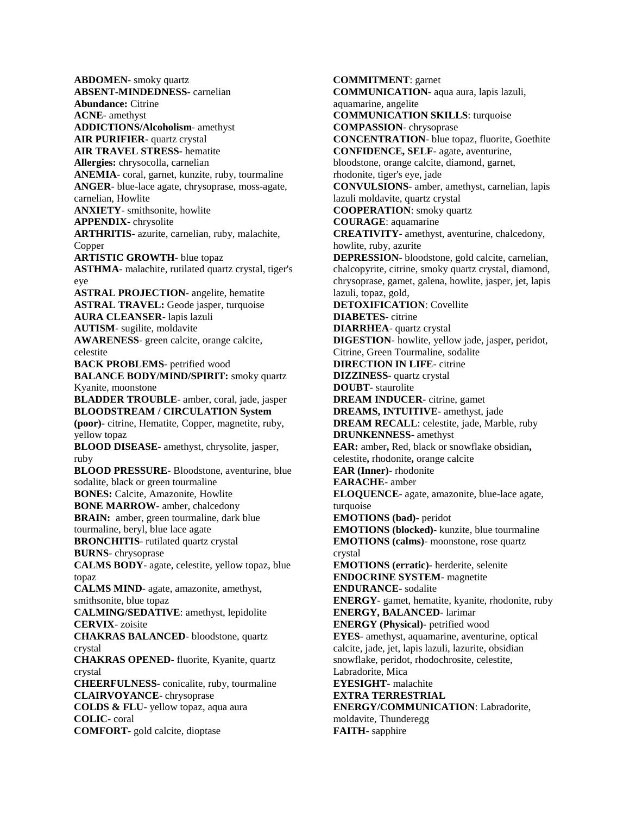**ABDOMEN**- [smoky quartz](http://www.crystalsrocksandgems.com/Healing_Crystals/SmokyQuartz.html) **ABSENT-MINDEDNESS-** [carnelian](http://www.crystalsrocksandgems.com/Healing_Crystals/Carnelian.html) **Abundance:** [Citrine](http://www.crystalsrocksandgems.com/Healing_Crystals/Citrine.html) **ACNE**- [amethyst](http://www.crystalsrocksandgems.com/Healing_Crystals/Amethyst.html) **ADDICTIONS/Alcoholism**- [amethyst](http://www.crystalsrocksandgems.com/Healing_Crystals/Amethyst.html) **AIR PURIFIER-** [quartz crystal](http://www.crystalsrocksandgems.com/Healing_Crystals/Quartz.html) **AIR TRAVEL STRESS-** [hematite](http://www.crystalsrocksandgems.com/Healing_Crystals/Hematite.html) **Allergies:** [chrysocolla,](http://www.crystalsrocksandgems.com/Healing_Crystals/Chrysocolla.html) [carnelian](http://www.crystalsrocksandgems.com/Healing_Crystals/Carnelian.html) **ANEMIA**- [coral,](http://www.crystalsrocksandgems.com/Healing_Crystals/Coral.html) [garnet,](http://www.crystalsrocksandgems.com/Healing_Crystals/Garnet.html) [kunzite,](http://www.crystalsrocksandgems.com/Healing_Crystals/Kunzite.html) [ruby,](http://www.crystalsrocksandgems.com/Healing_Crystals/Ruby.html) [tourmaline](http://www.crystalsrocksandgems.com/Healing_Crystals/Tourmaline.html) **ANGER**- [blue-lace agate,](http://www.crystalsrocksandgems.com/Healing_Crystals/Agates.html) [chrysoprase,](http://www.crystalsrocksandgems.com/Healing_Crystals/Chrysoprase.html) [moss-agate,](http://www.crystalsrocksandgems.com/Healing_Crystals/Agates.html) [carnelian,](http://www.crystalsrocksandgems.com/Healing_Crystals/Carnelian.html) [Howlite](http://www.crystalsrocksandgems.com/Healing_Crystals/Howlite.html) **ANXIETY**- [smithsonite,](http://www.crystalsrocksandgems.com/Healing_Crystals/Smithsonite.html) [howlite](http://www.crystalsrocksandgems.com/Healing_Crystals/Howlite.html) **APPENDIX**- [chrysolite](http://www.crystalsrocksandgems.com/Healing_Crystals/Chrysolite.html) **ARTHRITIS**- [azurite,](http://www.crystalsrocksandgems.com/Healing_Crystals/Azurite.html) [carnelian,](http://www.crystalsrocksandgems.com/Healing_Crystals/Carnelian.html) [ruby,](http://www.crystalsrocksandgems.com/Healing_Crystals/Ruby.html) [malachite,](http://www.crystalsrocksandgems.com/Healing_Crystals/Malachite.html) [Copper](http://www.crystalsrocksandgems.com/Healing_Crystals/Copper.html) **ARTISTIC GROWTH**- [blue topaz](http://www.crystalsrocksandgems.com/Healing_Crystals/Topaz.html) **ASTHMA**- [malachite,](http://www.crystalsrocksandgems.com/Healing_Crystals/Malachite.html) [rutilated quartz crystal,](http://www.crystalsrocksandgems.com/Healing_Crystals/Quartz.html) [tiger's](http://www.crystalsrocksandgems.com/Healing_Crystals/Tigers_Eye.html)  [eye](http://www.crystalsrocksandgems.com/Healing_Crystals/Tigers_Eye.html) **ASTRAL PROJECTION**- [angelite,](http://www.crystalsrocksandgems.com/Healing_Crystals/Angelite.html) [hematite](http://www.crystalsrocksandgems.com/Healing_Crystals/Hematite.html) **ASTRAL TRAVEL:** [Geode](http://www.crystalsrocksandgems.com/Crystal_Therapy_and_Healing/Geodes.html) [jasper,](http://www.crystalsrocksandgems.com/Healing_Crystals/Jasper.html) [turquoise](http://www.crystalsrocksandgems.com/Healing_Crystals/Turquoise.html) **AURA CLEANSER**- [lapis lazuli](http://www.crystalsrocksandgems.com/Healing_Crystals/Lapis_Lazuli.html) **AUTISM**- [sugilite,](http://www.crystalsrocksandgems.com/Healing_Crystals/Sugilite.html) [moldavite](http://www.crystalsrocksandgems.com/Healing_Crystals/Moldavite.html) **AWARENESS**- [green calcite, orange calcite,](http://www.crystalsrocksandgems.com/Healing_Crystals/Calcite.html) [celestite](http://www.crystalsrocksandgems.com/Healing_Crystals/Celestite.html) **BACK PROBLEMS**- [petrified wood](http://www.crystalsrocksandgems.com/Healing_Crystals/Petrified_Wood.html) **BALANCE BODY/MIND/SPIRIT:** [smoky quartz](http://www.crystalsrocksandgems.com/Healing_Crystals/SmokyQuartz.html) [Kyanite,](http://www.crystalsrocksandgems.com/Healing_Crystals/Kyanite.html) [moonstone](http://www.crystalsrocksandgems.com/Healing_Crystals/Moonstone.html) **BLADDER TROUBLE**- [amber,](http://www.crystalsrocksandgems.com/Healing_Crystals/Amber.html) [coral,](http://www.crystalsrocksandgems.com/Healing_Crystals/Coral.html) [jade,](http://www.crystalsrocksandgems.com/Healing_Crystals/Jade.html) [jasper](http://www.crystalsrocksandgems.com/Healing_Crystals/Jasper.html) **BLOODSTREAM / CIRCULATION System (poor)-** [citrine,](http://www.crystalsrocksandgems.com/Healing_Crystals/Citrine.html) [Hematite,](http://www.crystalsrocksandgems.com/Healing_Crystals/Hemaite.html) [Copper,](http://www.crystalsrocksandgems.com/Healing_Crystals/Copper.html) [magnetite,](http://www.crystalsrocksandgems.com/Healing_Crystals/Magnetite.html) [ruby,](http://www.crystalsrocksandgems.com/Healing_Crystals/Ruby.html) [yellow topaz](http://www.crystalsrocksandgems.com/Healing_Crystals/Topaz.html) **BLOOD DISEASE**- [amethyst,](http://www.crystalsrocksandgems.com/Healing_Crystals/Amethyst.html) [chrysolite,](http://www.crystalsrocksandgems.com/Healing_Crystals/Chrysolite.html) [jasper,](http://www.crystalsrocksandgems.com/Healing_Crystals/Jasper.html) [ruby](http://www.crystalsrocksandgems.com/Healing_Crystals/Ruby.html) **BLOOD PRESSURE**- [Bloodstone,](http://www.crystalsrocksandgems.com/Healing_Crystals/Bloodstone.html) [aventurine,](http://www.crystalsrocksandgems.com/Healing_Crystals/Aventurine.html) [blue](http://www.crystalsrocksandgems.com/Healing_Crystals/Sodalite.html)  [sodalite,](http://www.crystalsrocksandgems.com/Healing_Crystals/Sodalite.html) [black or green tourmaline](http://www.crystalsrocksandgems.com/Healing_Crystals/Tourmaline.html) **BONES:** [Calcite,](http://www.crystalsrocksandgems.com/Healing_Crystals/Calcite.html) [Amazonite,](http://www.crystalsrocksandgems.com/Healing_Crystals/Amazonite.html) [Howlite](http://www.crystalsrocksandgems.com/Healing_Crystals/Howlite.html) **BONE MARROW-** [amber,](http://www.crystalsrocksandgems.com/Healing_Crystals/Amber.html) [chalcedony](http://www.crystalsrocksandgems.com/Healing_Crystals/Chalcedony.html) **BRAIN:** [amber,](http://www.crystalsrocksandgems.com/Healing_Crystals/Amber.html) [green tourmaline, dark blue](http://www.crystalsrocksandgems.com/Healing_Crystals/Tourmaline.html)  [tourmaline,](http://www.crystalsrocksandgems.com/Healing_Crystals/Tourmaline.html) [beryl,](http://www.crystalsrocksandgems.com/Healing_Crystals/Beryl.html) [blue lace agate](http://www.crystalsrocksandgems.com/Healing_Crystals/Agates.html) **BRONCHITIS**- [rutilated quartz crystal](http://www.crystalsrocksandgems.com/Healing_Crystals/Quartz.html) **BURNS**- [chrysoprase](http://www.crystalsrocksandgems.com/Healing_Crystals/Chrysoprase.html) **CALMS BODY**- [agate,](http://www.crystalsrocksandgems.com/Healing_Crystals/Agates.html) [celestite,](http://www.crystalsrocksandgems.com/Healing_Crystals/Celestite.html) [yellow topaz, blue](http://www.crystalsrocksandgems.com/Healing_Crystals/Topaz.html)  [topaz](http://www.crystalsrocksandgems.com/Healing_Crystals/Topaz.html) **CALMS MIND**- [agate,](http://www.crystalsrocksandgems.com/Healing_Crystals/Agates.html) [amazonite,](http://www.crystalsrocksandgems.com/Healing_Crystals/Amazonite.html) [amethyst,](http://www.crystalsrocksandgems.com/Healing_Crystals/Amethyst.html)  [smithsonite,](http://www.crystalsrocksandgems.com/Healing_Crystals/Smithsonite.html) [blue topaz](http://www.crystalsrocksandgems.com/Healing_Crystals/Topaz.html) **CALMING/SEDATIVE**: [amethyst,](http://www.crystalsrocksandgems.com/Healing_Crystals/Amethyst.html) [lepidolite](http://www.crystalsrocksandgems.com/Healing_Crystals/Lepidolite.html) **CERVIX**- [zoisite](http://www.crystalsrocksandgems.com/Healing_Crystals/Zoisite.html) **CHAKRAS BALANCED**- [bloodstone,](http://www.crystalsrocksandgems.com/Healing_Crystals/Bloodstone.html) [quartz](http://www.crystalsrocksandgems.com/Healing_Crystals/Quartz.html)  [crystal](http://www.crystalsrocksandgems.com/Healing_Crystals/Quartz.html) **CHAKRAS OPENED**- [fluorite,](http://www.crystalsrocksandgems.com/Healing_Crystals/Fluorite.html) [Kyanite,](http://www.crystalsrocksandgems.com/Healing_Crystals/Kyanite.html) [quartz](http://www.crystalsrocksandgems.com/Healing_Crystals/Quartz.html)  [crystal](http://www.crystalsrocksandgems.com/Healing_Crystals/Quartz.html) **CHEERFULNESS**- [conicalite,](http://www.crystalsrocksandgems.com/Healing_Crystals/Conichalcite.html) [ruby,](http://www.crystalsrocksandgems.com/Healing_Crystals/Ruby.html) [tourmaline](http://www.crystalsrocksandgems.com/Healing_Crystals/Tourmaline.html) **CLAIRVOYANCE**- [chrysoprase](http://www.crystalsrocksandgems.com/Healing_Crystals/Chrysoprase.html) **COLDS & FLU**- [yellow topaz,](http://www.crystalsrocksandgems.com/Healing_Crystals/Topaz.html) [aqua aura](http://www.crystalsrocksandgems.com/Healing_Crystals/AquaAura.html) **COLIC**- [coral](http://www.crystalsrocksandgems.com/Healing_Crystals/Coral.html) **COMFORT-** [gold calcite,](http://www.crystalsrocksandgems.com/Healing_Crystals/Calcite.html) [dioptase](http://www.crystalsrocksandgems.com/Healing_Crystals/Dioptase.html)

**COMMITMENT**[: garnet](http://www.crystalsrocksandgems.com/Healing_Crystals/Garnet.html) **COMMUNICATION**- [aqua aura,](http://www.crystalsrocksandgems.com/Healing_Crystals/AquaAura.html) [lapis lazuli,](http://www.crystalsrocksandgems.com/Healing_Crystals/Lapis_Lazuli.html) [aquamarine,](http://www.crystalsrocksandgems.com/Healing_Crystals/Aquamarine.html) [angelite](http://www.crystalsrocksandgems.com/Healing_Crystals/Angelite.html) **COMMUNICATION SKILLS**: [turquoise](http://www.crystalsrocksandgems.com/Healing_Crystals/Turquoise.html) **COMPASSION**- [chrysoprase](http://www.crystalsrocksandgems.com/Healing_Crystals/Chrysoprase.html) **CONCENTRATION**- [blue topaz,](http://www.crystalsrocksandgems.com/Healing_Crystals/Topaz.html) [fluorite,](http://www.crystalsrocksandgems.com/Healing_Crystals/Fluorite.html) [Goethite](mailto:info@crystalsrocksandgems.com?subject=Special%20Order%20Goethite) **CONFIDENCE, SELF**- [agate,](http://www.crystalsrocksandgems.com/Healing_Crystals/Agates.html) [aventurine,](http://www.crystalsrocksandgems.com/Healing_Crystals/Aventurine.html)  [bloodstone,](http://www.crystalsrocksandgems.com/Healing_Crystals/Bloodstone.html) [orange calcite,](http://www.crystalsrocksandgems.com/Healing_Crystals/Calcite.html) [diamond,](http://www.crystalsrocksandgems.com/Healing_Crystals/Diamond.html) [garnet,](http://www.crystalsrocksandgems.com/Healing_Crystals/Garnet.html) [rhodonite,](http://www.crystalsrocksandgems.com/Healing_Crystals/Rhodonite.html) [tiger's eye,](http://www.crystalsrocksandgems.com/Healing_Crystals/Tigers_Eye.html) [jade](http://www.crystalsrocksandgems.com/Healing_Crystals/Jade.html) **CONVULSIONS**- [amber,](http://www.crystalsrocksandgems.com/Healing_Crystals/Amber.html) [amethyst,](http://www.crystalsrocksandgems.com/Healing_Crystals/Amethyst.html) [carnelian,](http://www.crystalsrocksandgems.com/Healing_Crystals/Carnelian.html) [lapis](http://www.crystalsrocksandgems.com/Healing_Crystals/Lapis_Lazuli.html)  [lazuli](http://www.crystalsrocksandgems.com/Healing_Crystals/Lapis_Lazuli.html) [moldavite,](http://www.crystalsrocksandgems.com/Healing_Crystals/Moldavite.html) [quartz crystal](http://www.crystalsrocksandgems.com/Healing_Crystals/Quartz.html) **COOPERATION**: [smoky quartz](http://www.crystalsrocksandgems.com/Healing_Crystals/SmokyQuartz.html) **COURAGE**: [aquamarine](http://www.crystalsrocksandgems.com/Healing_Crystals/Aquamarine.html) **CREATIVITY**- [amethyst,](http://www.crystalsrocksandgems.com/Healing_Crystals/Amethyst.html) [aventurine,](http://www.crystalsrocksandgems.com/Healing_Crystals/Aventurine.html) [chalcedony,](http://www.crystalsrocksandgems.com/Healing_Crystals/Chalcedony.html)  [howlite,](http://www.crystalsrocksandgems.com/Healing_Crystals/Howlite.html) [ruby,](http://www.crystalsrocksandgems.com/Healing_Crystals/Ruby.html) [azurite](http://www.crystalsrocksandgems.com/Healing_Crystals/Lazurite.html) **DEPRESSION**- [bloodstone,](http://www.crystalsrocksandgems.com/Healing_Crystals/Bloodstone.html) [gold calcite,](http://www.crystalsrocksandgems.com/Healing_Crystals/Calcite.html) [carnelian,](http://www.crystalsrocksandgems.com/Healing_Crystals/Carnelian.html) [chalcopyrite,](http://www.crystalsrocksandgems.com/Healing_Crystals/Chalcopyrite.html) [citrine,](http://www.crystalsrocksandgems.com/Healing_Crystals/Citrine.html) [smoky quartz crystal,](http://www.crystalsrocksandgems.com/Healing_Crystals/SmokyQuartz.html) [diamond,](http://www.crystalsrocksandgems.com/Healing_Crystals/Diamond.html)  [chrysoprase,](http://www.crystalsrocksandgems.com/Healing_Crystals/Chrysoprase.html) [gamet,](http://www.crystalsrocksandgems.com/Healing_Crystals/Garnet.html) [galena,](http://www.crystalsrocksandgems.com/Healing_Crystals/Galena.html) [howlite,](http://www.crystalsrocksandgems.com/Healing_Crystals/Howlite.html) [jasper,](http://www.crystalsrocksandgems.com/Healing_Crystals/Jasper.html) [jet,](http://www.crystalsrocksandgems.com/Healing_Crystals/Jet.html) [lapis](http://www.crystalsrocksandgems.com/Healing_Crystals/Lapis_Lazuli.html)  [lazuli,](http://www.crystalsrocksandgems.com/Healing_Crystals/Lapis_Lazuli.html) [topaz,](http://www.crystalsrocksandgems.com/Healing_Crystals/Topaz.html) [gold,](http://www.crystalsrocksandgems.com/Healing_Crystals/Gold.html) **DETOXIFICATION**[: Covellite](mailto:info@crystalsrocksandgems.com?subject=Special%20Order%20Covellite) **DIABETES**- [citrine](http://www.crystalsrocksandgems.com/Healing_Crystals/Citrine.html) **DIARRHEA**- [quartz crystal](http://www.crystalsrocksandgems.com/Healing_Crystals/Quartz.html) **DIGESTION**- [howlite,](http://www.crystalsrocksandgems.com/Healing_Crystals/Howlite.html) [yellow jade,](http://www.crystalsrocksandgems.com/Healing_Crystals/Jade.html) [jasper,](http://www.crystalsrocksandgems.com/Healing_Crystals/Jasper.html) [peridot,](http://www.crystalsrocksandgems.com/Healing_Crystals/Peridot.html) [Citrine,](http://www.crystalsrocksandgems.com/Healing_Crystals/Citrine.html) [Green Tourmaline,](http://www.crystalsrocksandgems.com/Healing_Crystals/Tourmaline.html) [sodalite](http://www.crystalsrocksandgems.com/Healing_Crystals/Sodalite.html) **DIRECTION IN LIFE**- [citrine](http://www.crystalsrocksandgems.com/Healing_Crystals/Citrine.html) **DIZZINESS**- [quartz crystal](http://www.crystalsrocksandgems.com/Healing_Crystals/Quartz.html) **DOUBT**- [staurolite](http://www.crystalsrocksandgems.com/Healing_Crystals/Staurolite.html) **DREAM INDUCER-** [citrine,](http://www.crystalsrocksandgems.com/Healing_Crystals/Citrine.html) [gamet](http://www.crystalsrocksandgems.com/Healing_Crystals/Garnet.html) **DREAMS, INTUITIVE**- [amethyst,](http://www.crystalsrocksandgems.com/Healing_Crystals/Amethyst.html) [jade](http://www.crystalsrocksandgems.com/Healing_Crystals/Jade.html) **DREAM RECALL**: [celestite,](http://www.crystalsrocksandgems.com/Healing_Crystals/Celestite.html) [jade,](http://www.crystalsrocksandgems.com/Healing_Crystals/Jade.html) [Marble,](mailto:info@crystalsrocksandgems.com?subject=Special%20Order%20Marble) [ruby](http://www.crystalsrocksandgems.com/Healing_Crystals/Ruby.html) **DRUNKENNESS**- [amethyst](http://www.crystalsrocksandgems.com/Healing_Crystals/Amethyst.html) **EAR:** [amber](http://www.crystalsrocksandgems.com/Healing_Crystals/Amber.html)**,** [Red, black or snowflake obsidian](http://www.crystalsrocksandgems.com/Healing_Crystals/Obsidian.html)**,**  [celestite](http://www.crystalsrocksandgems.com/Healing_Crystals/Celestite.html)**,** [rhodonite](http://www.crystalsrocksandgems.com/Healing_Crystals/Rhodonite.html)**,** [orange calcite](http://www.crystalsrocksandgems.com/Healing_Crystals/Calcite.html) **EAR (Inner)**- [rhodonite](http://www.crystalsrocksandgems.com/Healing_Crystals/Rhodonite.html) **EARACHE**- [amber](http://www.crystalsrocksandgems.com/Healing_Crystals/Amber.html) **ELOQUENCE**- [agate,](http://www.crystalsrocksandgems.com/Healing_Crystals/Agates.html) [amazonite,](http://www.crystalsrocksandgems.com/Healing_Crystals/Amazonite.html) [blue-lace agate,](http://www.crystalsrocksandgems.com/Healing_Crystals/Agates.html) [turquoise](http://www.crystalsrocksandgems.com/Healing_Crystals/Turquoise.html) **EMOTIONS (bad)-** [peridot](http://www.crystalsrocksandgems.com/Healing_Crystals/Peridot.html) **EMOTIONS (blocked)**- [kunzite,](http://www.crystalsrocksandgems.com/Healing_Crystals/Kunzite.html) [blue tourmaline](http://www.crystalsrocksandgems.com/Healing_Crystals/Tourmaline.html) **EMOTIONS (calms)**- [moonstone,](http://www.crystalsrocksandgems.com/Healing_Crystals/Moonstone.html) [rose quartz](http://www.crystalsrocksandgems.com/Healing_Crystals/RoseQuartz.html)  crystal **EMOTIONS (erratic)-** [herderite,](mailto:info@crystalsrocksandgems.com?subject=Special%20Order%20Herderite) [selenite](http://www.crystalsrocksandgems.com/Healing_Crystals/Selenite.html) **ENDOCRINE SYSTEM**- [magnetite](http://www.crystalsrocksandgems.com/Healing_Crystals/Magnetite.html) **ENDURANCE**- [sodalite](http://www.crystalsrocksandgems.com/Healing_Crystals/Sodalite.html) **ENERGY**- [gamet,](http://www.crystalsrocksandgems.com/Healing_Crystals/Garnet.html) [hematite,](http://www.crystalsrocksandgems.com/Healing_Crystals/Hematite.html) [kyanite,](http://www.crystalsrocksandgems.com/Healing_Crystals/Kyanite.html) [rhodonite,](http://www.crystalsrocksandgems.com/Healing_Crystals/Rhodonite.html) [ruby](http://www.crystalsrocksandgems.com/Healing_Crystals/Ruby.html) **ENERGY, BALANCED**- [larimar](http://www.crystalsrocksandgems.com/Healing_Crystals/Larimar.html) **ENERGY (Physical)-** [petrified wood](http://www.crystalsrocksandgems.com/Healing_Crystals/Petrified_Wood.html) **EYES**- [amethyst,](http://www.crystalsrocksandgems.com/Healing_Crystals/Amethyst.html) [aquamarine,](http://www.crystalsrocksandgems.com/Healing_Crystals/Aquamarine.html) [aventurine,](http://www.crystalsrocksandgems.com/Healing_Crystals/Aventurine.html) [optical](http://www.crystalsrocksandgems.com/Healing_Crystals/Calcite.html)  [calcite,](http://www.crystalsrocksandgems.com/Healing_Crystals/Calcite.html) [jade,](http://www.crystalsrocksandgems.com/Healing_Crystals/Jade.html) [jet,](http://www.crystalsrocksandgems.com/Healing_Crystals/Jet.html) [lapis lazuli,](http://www.crystalsrocksandgems.com/Healing_Crystals/Lapis_Lazuli.html) [lazurite,](http://www.crystalsrocksandgems.com/Healing_Crystals/Lazurite.html) [obsidian](http://www.crystalsrocksandgems.com/Healing_Crystals/Obsidian.html)  [snowflake,](http://www.crystalsrocksandgems.com/Healing_Crystals/Obsidian.html) [peridot,](http://www.crystalsrocksandgems.com/Healing_Crystals/Peridot.html) [rhodochrosite,](http://www.crystalsrocksandgems.com/Healing_Crystals/Rhodochrosite.html) [celestite,](http://www.crystalsrocksandgems.com/Healing_Crystals/Celestite.html) [Labradorite,](http://www.crystalsrocksandgems.com/Healing_Crystals/Labradorite.html) [Mica](mailto:info@crystalsrocksandgems.com?subject=Special%20Order%20Mica) **EYESIGHT**- [malachite](http://www.crystalsrocksandgems.com/Healing_Crystals/Malachite.html) **EXTRA TERRESTRIAL ENERGY/COMMUNICATION**: [Labradorite,](http://www.crystalsrocksandgems.com/Healing_Crystals/Labradorite.html) [moldavite,](http://www.crystalsrocksandgems.com/Healing_Crystals/Moldavite.html) [Thunderegg](mailto:info@crystalsrocksandgems.com?subject=Special%20Order%20Thunderegg) **FAITH**- [sapphire](http://www.crystalsrocksandgems.com/Healing_Crystals/Sapphire.html)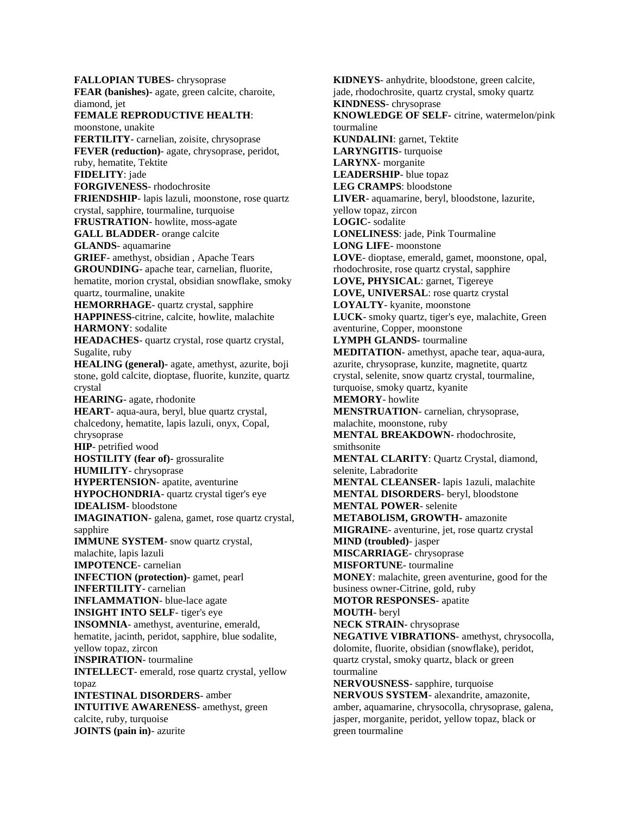**FALLOPIAN TUBES-** [chrysoprase](http://www.crystalsrocksandgems.com/Healing_Crystals/Chrysoprase.html) **FEAR (banishes)-** [agate,](http://www.crystalsrocksandgems.com/Healing_Crystals/Agates.html) [green calcite,](http://www.crystalsrocksandgems.com/Healing_Crystals/Calcite.html) [charoite,](http://www.crystalsrocksandgems.com/Healing_Crystals/Charoite.html) [diamond,](http://www.crystalsrocksandgems.com/Healing_Crystals/Diamond.html) [jet](http://www.crystalsrocksandgems.com/Healing_Crystals/Jet.html) **FEMALE REPRODUCTIVE HEALTH**: [moonstone,](http://www.crystalsrocksandgems.com/Healing_Crystals/Moonstone.html) [unakite](http://www.crystalsrocksandgems.com/Healing_Crystals/Unakite.html) **FERTILITY**- [carnelian,](http://www.crystalsrocksandgems.com/Healing_Crystals/Carnelian.html) [zoisite,](http://www.crystalsrocksandgems.com/Healing_Crystals/Zoisite.html) [chrysoprase](http://www.crystalsrocksandgems.com/Healing_Crystals/Chrysoprase.html) **FEVER (reduction)**- [agate,](http://www.crystalsrocksandgems.com/Healing_Crystals/Agates.html) [chrysoprase,](http://www.crystalsrocksandgems.com/Healing_Crystals/Chrysoprase.html) [peridot,](http://www.crystalsrocksandgems.com/Healing_Crystals/Peridot.html) [ruby,](http://www.crystalsrocksandgems.com/Healing_Crystals/Ruby.html) [hematite,](http://www.crystalsrocksandgems.com/Healing_Crystals/Hematite.html) [Tektite](http://www.crystalsrocksandgems.com/Healing_Crystals/Tektite.html) **FIDELITY**: [jade](http://www.crystalsrocksandgems.com/Healing_Crystals/Jade.html) **FORGIVENESS**- [rhodochrosite](http://www.crystalsrocksandgems.com/Healing_Crystals/Rhodochrosite.html) **FRIENDSHIP**- [lapis lazuli,](http://www.crystalsrocksandgems.com/Healing_Crystals/Lapis_Lazuli.html) [moonstone,](http://www.crystalsrocksandgems.com/Healing_Crystals/Moonstone.html) [rose quartz](http://www.crystalsrocksandgems.com/Healing_Crystals/Quartz.html)  crystal, [sapphire,](http://www.crystalsrocksandgems.com/Healing_Crystals/Sapphire.html) [tourmaline,](http://www.crystalsrocksandgems.com/Healing_Crystals/Tourmaline.html) [turquoise](http://www.crystalsrocksandgems.com/Healing_Crystals/Turquoise.html) **FRUSTRATION**- [howlite,](http://www.crystalsrocksandgems.com/Healing_Crystals/Howlite.html) [moss-agate](http://www.crystalsrocksandgems.com/Healing_Crystals/Agates.html) **GALL BLADDER**- [orange calcite](http://www.crystalsrocksandgems.com/Healing_Crystals/Calcite.html) **GLANDS**- [aquamarine](http://www.crystalsrocksandgems.com/Healing_Crystals/Aquamarine.html) **GRIEF**- [amethyst,](http://www.crystalsrocksandgems.com/Healing_Crystals/Amethyst.html) [obsidian ,](http://www.crystalsrocksandgems.com/Healing_Crystals/Obsidian.html) [Apache Tears](http://www.crystalsrocksandgems.com/Healing_Crystals/ApacheTears.html) **GROUNDING**- [apache tear,](http://www.crystalsrocksandgems.com/Healing_Crystals/ApacheTears.html) [carnelian,](http://www.crystalsrocksandgems.com/Healing_Crystals/Carnelian.html) [fluorite,](http://www.crystalsrocksandgems.com/Healing_Crystals/Fluorite.html)  [hematite,](http://www.crystalsrocksandgems.com/Healing_Crystals/Hematite.html) [morion crystal,](mailto:info@crystalsrocksandgems.com?subject=Special%20Order%20Morion%20Crystal) [obsidian snowflake,](http://www.crystalsrocksandgems.com/Healing_Crystals/Obsidian.html) [smoky](http://www.crystalsrocksandgems.com/Healing_Crystals/SmokyQuartz.html)  [quartz,](http://www.crystalsrocksandgems.com/Healing_Crystals/SmokyQuartz.html) [tourmaline,](http://www.crystalsrocksandgems.com/Healing_Crystals/Tourmaline.html) [unakite](http://www.crystalsrocksandgems.com/Healing_Crystals/Unakite.html) **HEMORRHAGE**- [quartz crystal,](http://www.crystalsrocksandgems.com/Healing_Crystals/Quartz.html) [sapphire](http://www.crystalsrocksandgems.com/Healing_Crystals/Sapphire.html) **HAPPINESS**[-citrine,](http://www.crystalsrocksandgems.com/Healing_Crystals/Citrine.html) [calcite,](http://www.crystalsrocksandgems.com/Healing_Crystals/Calcite.html) [howlite,](http://www.crystalsrocksandgems.com/Healing_Crystals/Howlite.html) [malachite](http://www.crystalsrocksandgems.com/Healing_Crystals/Malachite.html) **HARMONY**: [sodalite](http://www.crystalsrocksandgems.com/Healing_Crystals/Sodalite.html) **HEADACHES**- [quartz crystal, rose quartz crystal,](http://www.crystalsrocksandgems.com/Healing_Crystals/Quartz.html) Sugalite, [ruby](http://www.crystalsrocksandgems.com/Healing_Crystals/Ruby.html) **HEALING (general)-** [agate,](http://www.crystalsrocksandgems.com/Healing_Crystals/Agates.html) [amethyst,](http://www.crystalsrocksandgems.com/Healing_Crystals/Amethyst.html) [azurite,](http://www.crystalsrocksandgems.com/Healing_Crystals/Azurite.html) [boji](http://www.crystalsrocksandgems.com/Healing_Crystals/BojiStones.html)  [stone,](http://www.crystalsrocksandgems.com/Healing_Crystals/BojiStones.html) [gold calcite,](http://www.crystalsrocksandgems.com/Healing_Crystals/Calcite.html) [dioptase,](http://www.crystalsrocksandgems.com/Healing_Crystals/Dioptase.html) [fluorite,](http://www.crystalsrocksandgems.com/Healing_Crystals/Fluorite.html) [kunzite,](http://www.crystalsrocksandgems.com/Healing_Crystals/Kunzite.html) [quartz](http://www.crystalsrocksandgems.com/Healing_Crystals/Quartz.html)  [crystal](http://www.crystalsrocksandgems.com/Healing_Crystals/Quartz.html) **HEARING**- [agate,](http://www.crystalsrocksandgems.com/Healing_Crystals/Agates.html) [rhodonite](http://www.crystalsrocksandgems.com/Healing_Crystals/Rhodonite.html) **HEART**- [aqua-aura,](http://www.crystalsrocksandgems.com/Healing_Crystals/AquaAura.html) [beryl,](http://www.crystalsrocksandgems.com/Healing_Crystals/Beryl.html) [blue quartz crystal,](http://www.crystalsrocksandgems.com/Healing_Crystals/Quartz.html) [chalcedony,](http://www.crystalsrocksandgems.com/Healing_Crystals/Chalcedony.html) [hematite,](http://www.crystalsrocksandgems.com/Healing_Crystals/Hematite.html) [lapis lazuli,](http://www.crystalsrocksandgems.com/Healing_Crystals/Lapis_Lazuli.html) [onyx,](http://www.crystalsrocksandgems.com/Healing_Crystals/Onyx.html) [Copal,](mailto:info@crystalsrocksandgems.com?subject=Special%20Order%20Copal)  [chrysoprase](http://www.crystalsrocksandgems.com/Healing_Crystals/Chrysoprase.html) **HIP**- [petrified wood](http://www.crystalsrocksandgems.com/Healing_Crystals/Petrified_Wood.html) **HOSTILITY (fear of)-** [grossuralite](mailto:info@crystalsrocksandgems.com?subject=Special%20Order%20Grossuralite) **HUMILITY**- [chrysoprase](http://www.crystalsrocksandgems.com/Healing_Crystals/Chrysoprase.html) **HYPERTENSION**- [apatite,](http://www.crystalsrocksandgems.com/Healing_Crystals/Apatite.html) [aventurine](http://www.crystalsrocksandgems.com/Healing_Crystals/Aventurine.html) **HYPOCHONDRIA**- [quartz crystal](http://www.crystalsrocksandgems.com/Healing_Crystals/Quartz.html) [tiger's eye](http://www.crystalsrocksandgems.com/Healing_Crystals/Tigers_Eye.html) **IDEALISM**- [bloodstone](http://www.crystalsrocksandgems.com/Healing_Crystals/Bloodstone.html) **IMAGINATION**- [galena,](http://www.crystalsrocksandgems.com/Healing_Crystals/Galena.html) [gamet,](http://www.crystalsrocksandgems.com/Healing_Crystals/Garnet.html) [rose quartz crystal,](http://www.crystalsrocksandgems.com/Healing_Crystals/Quartz.html) [sapphire](http://www.crystalsrocksandgems.com/Healing_Crystals/Sapphire.html) **IMMUNE SYSTEM**- [snow quartz crystal,](http://www.crystalsrocksandgems.com/Healing_Crystals/Quartz.html) [malachite,](http://www.crystalsrocksandgems.com/Healing_Crystals/Malachite.html) [lapis lazuli](http://www.crystalsrocksandgems.com/Healing_Crystals/Lapis_Lazuli.html) **IMPOTENCE**- [carnelian](http://www.crystalsrocksandgems.com/Healing_Crystals/Carnelian.html) **INFECTION (protection)-** [gamet,](http://www.crystalsrocksandgems.com/Healing_Crystals/Garnet.html) [pearl](http://www.crystalsrocksandgems.com/Healing_Crystals/Pearls.html) **INFERTILITY**- [carnelian](http://www.crystalsrocksandgems.com/Healing_Crystals/Carnelian.html) **INFLAMMATION**- [blue-lace agate](http://www.crystalsrocksandgems.com/Healing_Crystals/Agates.html) **INSIGHT INTO SELF**- [tiger's eye](http://www.crystalsrocksandgems.com/Healing_Crystals/Tigers_Eye.html) **INSOMNIA**- [amethyst,](http://www.crystalsrocksandgems.com/Healing_Crystals/Amethyst.html) [aventurine,](http://www.crystalsrocksandgems.com/Healing_Crystals/Aventurine.html) [emerald,](http://www.crystalsrocksandgems.com/Healing_Crystals/Emerald.html) [hematite,](http://www.crystalsrocksandgems.com/Healing_Crystals/Hematite.html) [jacinth,](mailto:info@crystalsrocksandgems.com?subject=Special%20Order%20Jacinth) [peridot,](http://www.crystalsrocksandgems.com/Healing_Crystals/Peridot.html) [sapphire,](http://www.crystalsrocksandgems.com/Healing_Crystals/Sapphire.html) [blue sodalite,](http://www.crystalsrocksandgems.com/Healing_Crystals/Sodalite.html) [yellow topaz,](http://www.crystalsrocksandgems.com/Healing_Crystals/Topaz.html) [zircon](http://www.crystalsrocksandgems.com/Healing_Crystals/Zircon.html) **INSPIRATION**- [tourmaline](http://www.crystalsrocksandgems.com/Healing_Crystals/Tourmaline.html) **INTELLECT**- [emerald,](http://www.crystalsrocksandgems.com/Healing_Crystals/Emerald.html) [rose quartz crystal,](http://www.crystalsrocksandgems.com/Healing_Crystals/Quartz.html) [yellow](http://www.crystalsrocksandgems.com/Healing_Crystals/Topaz.html)  [topaz](http://www.crystalsrocksandgems.com/Healing_Crystals/Topaz.html) **INTESTINAL DISORDERS**- [amber](http://www.crystalsrocksandgems.com/Healing_Crystals/Amber.html) **INTUITIVE AWARENESS**- [amethyst,](http://www.crystalsrocksandgems.com/Healing_Crystals/Amethyst.html) [green](http://www.crystalsrocksandgems.com/Healing_Crystals/Calcite.html)  [calcite,](http://www.crystalsrocksandgems.com/Healing_Crystals/Calcite.html) [ruby,](http://www.crystalsrocksandgems.com/Healing_Crystals/Ruby.html) [turquoise](http://www.crystalsrocksandgems.com/Healing_Crystals/Turquoise.html) **JOINTS (pain in)**- [azurite](http://www.crystalsrocksandgems.com/Healing_Crystals/Azurite.html)

**KIDNEYS**- [anhydrite,](http://www.crystalsrocksandgems.com/Healing_Crystals/Anhydrite.html) [bloodstone,](http://www.crystalsrocksandgems.com/Healing_Crystals/Bloodstone.html) [green calcite,](http://www.crystalsrocksandgems.com/Healing_Crystals/Calcite.html) [jade,](http://www.crystalsrocksandgems.com/Healing_Crystals/Jade.html) [rhodochrosite,](http://www.crystalsrocksandgems.com/Healing_Crystals/Rhodochrosite.html) [quartz crystal,](http://www.crystalsrocksandgems.com/Healing_Crystals/Quartz.html) [smoky quartz](http://www.crystalsrocksandgems.com/Healing_Crystals/SmokyQuartz.html) **KINDNESS**- [chrysoprase](http://www.crystalsrocksandgems.com/Healing_Crystals/Chrysoprase.html)  **KNOWLEDGE OF SELF-** [citrine,](http://www.crystalsrocksandgems.com/Healing_Crystals/Citrine.html) [watermelon/pink](http://www.crystalsrocksandgems.com/Healing_Crystals/Tourmaline.html)  [tourmaline](http://www.crystalsrocksandgems.com/Healing_Crystals/Tourmaline.html) **KUNDALINI**: [garnet,](http://www.crystalsrocksandgems.com/Healing_Crystals/Garnet.html) [Tektite](http://www.crystalsrocksandgems.com/Healing_Crystals/Tektite.html) **LARYNGITIS**- [turquoise](http://www.crystalsrocksandgems.com/Healing_Crystals/Turquoise.html) **LARYNX**- [morganite](http://www.crystalsrocksandgems.com/Healing_Crystals/Morganite.html) **LEADERSHIP**- [blue topaz](http://www.crystalsrocksandgems.com/Healing_Crystals/Topaz.html) **LEG CRAMPS**[: bloodstone](http://www.crystalsrocksandgems.com/Healing_Crystals/Bloodstone.html) **LIVER**- [aquamarine,](http://www.crystalsrocksandgems.com/Healing_Crystals/Aquamarine.html) [beryl,](http://www.crystalsrocksandgems.com/Healing_Crystals/Beryl.html) [bloodstone,](http://www.crystalsrocksandgems.com/Healing_Crystals/Bloodstone.html) [lazurite,](http://www.crystalsrocksandgems.com/Healing_Crystals/Lazurite.html)  [yellow topaz,](http://www.crystalsrocksandgems.com/Healing_Crystals/Topaz.html) [zircon](http://www.crystalsrocksandgems.com/Healing_Crystals/Zircon.html) **LOGIC**- [sodalite](http://www.crystalsrocksandgems.com/Healing_Crystals/Sodalite.html) **LONELINESS**: [jade,](http://www.crystalsrocksandgems.com/Healing_Crystals/Jade.html) [Pink Tourmaline](http://www.crystalsrocksandgems.com/Healing_Crystals/Tourmaline.html) **LONG LIFE**- [moonstone](http://www.crystalsrocksandgems.com/Healing_Crystals/Moonstone.html) **LOVE**- [dioptase,](http://www.crystalsrocksandgems.com/Healing_Crystals/Dioptase.html) [emerald,](http://www.crystalsrocksandgems.com/Healing_Crystals/Emerald.html) [gamet,](http://www.crystalsrocksandgems.com/Healing_Crystals/Garnet.html) [moonstone,](http://www.crystalsrocksandgems.com/Healing_Crystals/Moonstone.html) [opal,](http://www.crystalsrocksandgems.com/Healing_Crystals/Opal.html) [rhodochrosite,](http://www.crystalsrocksandgems.com/Healing_Crystals/Rhodochrosite.html) [rose quartz crystal,](http://www.crystalsrocksandgems.com/Healing_Crystals/Quartz.html) [sapphire](http://www.crystalsrocksandgems.com/Healing_Crystals/Sapphire.html) **LOVE, PHYSICAL**: [garnet,](http://www.crystalsrocksandgems.com/Healing_Crystals/Garnet.html) [Tigereye](http://www.crystalsrocksandgems.com/Healing_Crystals/Tigers_Eye.html) **LOVE, UNIVERSAL**: [rose quartz crystal](http://www.crystalsrocksandgems.com/Healing_Crystals/Quartz.html) **LOYALTY**- [kyanite,](http://www.crystalsrocksandgems.com/Healing_Crystals/Kyanite.html) [moonstone](http://www.crystalsrocksandgems.com/Healing_Crystals/Moonstone.html) **LUCK**- [smoky quartz,](http://www.crystalsrocksandgems.com/Healing_Crystals/SmokyQuartz.html) [tiger's eye,](http://www.crystalsrocksandgems.com/Healing_Crystals/Tigers_Eye.html) [malachite,](http://www.crystalsrocksandgems.com/Healing_Crystals/Malachite.html) [Green](http://www.crystalsrocksandgems.com/Healing_Crystals/Aventurine.html)  [aventurine,](http://www.crystalsrocksandgems.com/Healing_Crystals/Aventurine.html) [Copper,](http://www.crystalsrocksandgems.com/Healing_Crystals/Copper.html) [moonstone](http://www.crystalsrocksandgems.com/Healing_Crystals/Moonstone.html) **LYMPH GLANDS-** [tourmaline](http://www.crystalsrocksandgems.com/Healing_Crystals/Tourmaline.html) **MEDITATION**- [amethyst,](http://www.crystalsrocksandgems.com/Healing_Crystals/Amethyst.html) [apache tear,](http://www.crystalsrocksandgems.com/Healing_Crystals/ApacheTears.html) [aqua-aura,](http://www.crystalsrocksandgems.com/Healing_Crystals/AquaAura.html) [azurite,](http://www.crystalsrocksandgems.com/Healing_Crystals/Azurite.html) [chrysoprase,](http://www.crystalsrocksandgems.com/Healing_Crystals/Chrysoprase.html) [kunzite,](http://www.crystalsrocksandgems.com/Healing_Crystals/Kunzite.html) [magnetite,](http://www.crystalsrocksandgems.com/Healing_Crystals/Magnetite.html) [quartz](http://www.crystalsrocksandgems.com/Healing_Crystals/Quartz.html)  [crystal,](http://www.crystalsrocksandgems.com/Healing_Crystals/Quartz.html) [selenite,](http://www.crystalsrocksandgems.com/Healing_Crystals/Selenite.html) [snow quartz crystal,](http://www.crystalsrocksandgems.com/Healing_Crystals/Quartz.html) [tourmaline,](http://www.crystalsrocksandgems.com/Healing_Crystals/Tourmaline.html)  [turquoise,](http://www.crystalsrocksandgems.com/Healing_Crystals/Turquoise.html) [smoky quartz,](http://www.crystalsrocksandgems.com/Healing_Crystals/SmokyQuartz.html) [kyanite](http://www.crystalsrocksandgems.com/Healing_Crystals/Kyanite.html) **MEMORY**- [howlite](http://www.crystalsrocksandgems.com/Healing_Crystals/Howlite.html) **MENSTRUATION**- [carnelian,](http://www.crystalsrocksandgems.com/Healing_Crystals/Carnelian.html) [chrysoprase,](http://www.crystalsrocksandgems.com/Healing_Crystals/Chrysoprase.html) [malachite,](http://www.crystalsrocksandgems.com/Healing_Crystals/Malachite.html) [moonstone,](http://www.crystalsrocksandgems.com/Healing_Crystals/Moonstone.html) [ruby](http://www.crystalsrocksandgems.com/Healing_Crystals/Ruby.html) **MENTAL BREAKDOWN-** [rhodochrosite,](http://www.crystalsrocksandgems.com/Healing_Crystals/Rhodochrosite.html) [smithsonite](http://www.crystalsrocksandgems.com/Healing_Crystals/Smithsonite.html) **MENTAL CLARITY**: [Quartz Crystal,](http://www.crystalsrocksandgems.com/Healing_Crystals/Quartz.html) [diamond,](http://www.crystalsrocksandgems.com/Healing_Crystals/Diamond.html)  [selenite,](http://www.crystalsrocksandgems.com/Healing_Crystals/Selenite.html) [Labradorite](http://www.crystalsrocksandgems.com/Healing_Crystals/Labradorite.html) **MENTAL CLEANSER**- [lapis 1azuli,](http://www.crystalsrocksandgems.com/Healing_Crystals/Lapis_Lazuli.html) [malachite](http://www.crystalsrocksandgems.com/Healing_Crystals/Malachite.html) **MENTAL DISORDERS**- [beryl,](http://www.crystalsrocksandgems.com/Healing_Crystals/Beryl.html) [bloodstone](http://www.crystalsrocksandgems.com/Healing_Crystals/Bloodstone.html) **MENTAL POWER**- [selenite](http://www.crystalsrocksandgems.com/Healing_Crystals/Selenite.html) **METABOLISM, GROWTH-** [amazonite](http://www.crystalsrocksandgems.com/Healing_Crystals/Amazonite.html) **MIGRAINE**- [aventurine,](http://www.crystalsrocksandgems.com/Healing_Crystals/Aventurine.html) [jet,](http://www.crystalsrocksandgems.com/Healing_Crystals/Jet.html) [rose quartz crystal](http://www.crystalsrocksandgems.com/Healing_Crystals/Quartz.html) **MIND (troubled)**- [jasper](http://www.crystalsrocksandgems.com/Healing_Crystals/Jasper.html) **MISCARRIAGE**- [chrysoprase](http://www.crystalsrocksandgems.com/Healing_Crystals/Chrysoprase.html) **MISFORTUNE**- [tourmaline](http://www.crystalsrocksandgems.com/Healing_Crystals/Tourmaline.html) **MONEY**[: malachite,](http://www.crystalsrocksandgems.com/Healing_Crystals/Malachite.html) [green aventurine,](http://www.crystalsrocksandgems.com/Healing_Crystals/Aventurine.html) good for the business owner[-Citrine,](http://www.crystalsrocksandgems.com/Healing_Crystals/Citrine.html) [gold,](http://www.crystalsrocksandgems.com/Healing_Crystals/Gold.html) [ruby](http://www.crystalsrocksandgems.com/Healing_Crystals/Ruby.html) **MOTOR RESPONSES**- [apatite](http://www.crystalsrocksandgems.com/Healing_Crystals/Apatite.html) **MOUTH**- [beryl](http://www.crystalsrocksandgems.com/Healing_Crystals/Beryl.html) **NECK STRAIN**- [chrysoprase](http://www.crystalsrocksandgems.com/Healing_Crystals/Chrysoprase.html) **NEGATIVE VIBRATIONS**- [amethyst,](http://www.crystalsrocksandgems.com/Healing_Crystals/Amethyst.html) [chrysocolla,](http://www.crystalsrocksandgems.com/Healing_Crystals/Chrysocolla.html) [dolomite,](http://www.crystalsrocksandgems.com/Healing_Crystals/Dolomite.html) [fluorite,](http://www.crystalsrocksandgems.com/Healing_Crystals/Fluorite.html) [obsidian \(snowflake\),](http://www.crystalsrocksandgems.com/Healing_Crystals/Obsidian.html) [peridot,](http://www.crystalsrocksandgems.com/Healing_Crystals/Peridot.html)  [quartz crystal,](http://www.crystalsrocksandgems.com/Healing_Crystals/Quartz.html) [smoky quartz,](http://www.crystalsrocksandgems.com/Healing_Crystals/SmokyQuartz.html) [black or green](http://www.crystalsrocksandgems.com/Healing_Crystals/Tourmaline.html)  [tourmaline](http://www.crystalsrocksandgems.com/Healing_Crystals/Tourmaline.html) **NERVOUSNESS**- [sapphire,](http://www.crystalsrocksandgems.com/Healing_Crystals/Sapphire.html) [turquoise](http://www.crystalsrocksandgems.com/Healing_Crystals/Turquoise.html) **NERVOUS SYSTEM**- [alexandrite,](http://www.crystalsrocksandgems.com/Healing_Crystals/Alexandrite.html) [amazonite,](http://www.crystalsrocksandgems.com/Healing_Crystals/Amazonite.html) [amber,](http://www.crystalsrocksandgems.com/Healing_Crystals/Amber.html) [aquamarine,](http://www.crystalsrocksandgems.com/Healing_Crystals/Aquamarine.html) [chrysocolla,](http://www.crystalsrocksandgems.com/Healing_Crystals/Chrysocolla.html) [chrysoprase,](http://www.crystalsrocksandgems.com/Healing_Crystals/Chrysoprase.html) [galena,](http://www.crystalsrocksandgems.com/Healing_Crystals/Galena.html)  [jasper,](http://www.crystalsrocksandgems.com/Healing_Crystals/Jasper.html) [morganite,](http://www.crystalsrocksandgems.com/Healing_Crystals/Morganite.html) [peridot,](http://www.crystalsrocksandgems.com/Healing_Crystals/Peridot.html) [yellow topaz,](http://www.crystalsrocksandgems.com/Healing_Crystals/Topaz.html) [black or](http://www.crystalsrocksandgems.com/Healing_Crystals/Tourmaline.html)  [green tourmaline](http://www.crystalsrocksandgems.com/Healing_Crystals/Tourmaline.html)